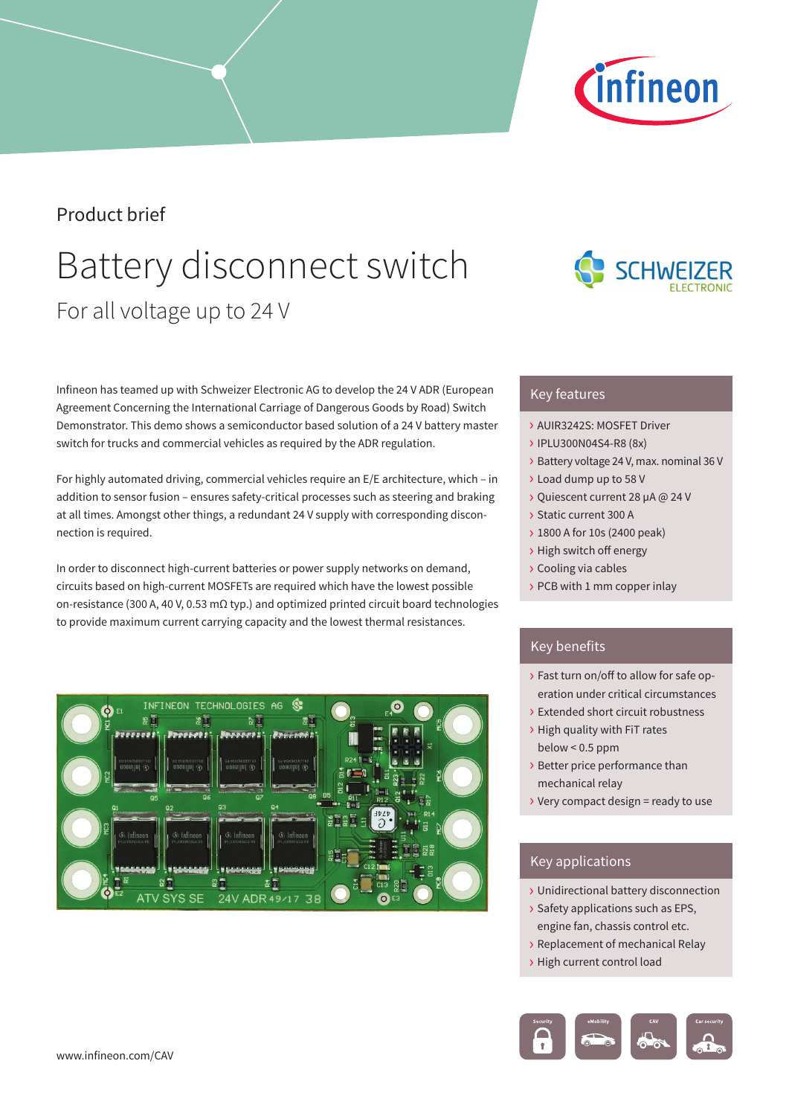### Product brief

## Battery disconnect switch For all voltage up to 24 V

Infineon has teamed up with Schweizer Electronic AG to develop the 24 V ADR (European Agreement Concerning the International Carriage of Dangerous Goods by Road) Switch Demonstrator. This demo shows a semiconductor based solution of a 24 V battery master switch for trucks and commercial vehicles as required by the ADR regulation.

For highly automated driving, commercial vehicles require an E/E architecture, which – in addition to sensor fusion – ensures safety-critical processes such as steering and braking at all times. Amongst other things, a redundant 24 V supply with corresponding disconnection is required.

In order to disconnect high-current batteries or power supply networks on demand, circuits based on high-current MOSFETs are required which have the lowest possible on-resistance (300 A, 40 V, 0.53 mΩ typ.) and optimized printed circuit board technologies to provide maximum current carrying capacity and the lowest thermal resistances.

# INFINEON TECHNOLOGIES AG YS SE 24V ADR 49/17 38

### Key features

- › AUIR3242S: MOSFET Driver
- › IPLU300N04S4-R8 (8x)
- › Battery voltage 24 V, max. nominal 36 V
- › Load dump up to 58 V
- › Quiescent current 28 µA @ 24 V
- › Static current 300 A
- › 1800 A for 10s (2400 peak)
- › High switch off energy
- › Cooling via cables
- › PCB with 1 mm copper inlay

### Key benefits

- › Fast turn on/off to allow for safe operation under critical circumstances
- › Extended short circuit robustness
- › High quality with FiT rates below < 0.5 ppm
- › Better price performance than mechanical relay
- $\rightarrow$  Very compact design = ready to use

### Key applications

- › Unidirectional battery disconnection
- › Safety applications such as EPS, engine fan, chassis control etc.
- › Replacement of mechanical Relay
- › High current control load